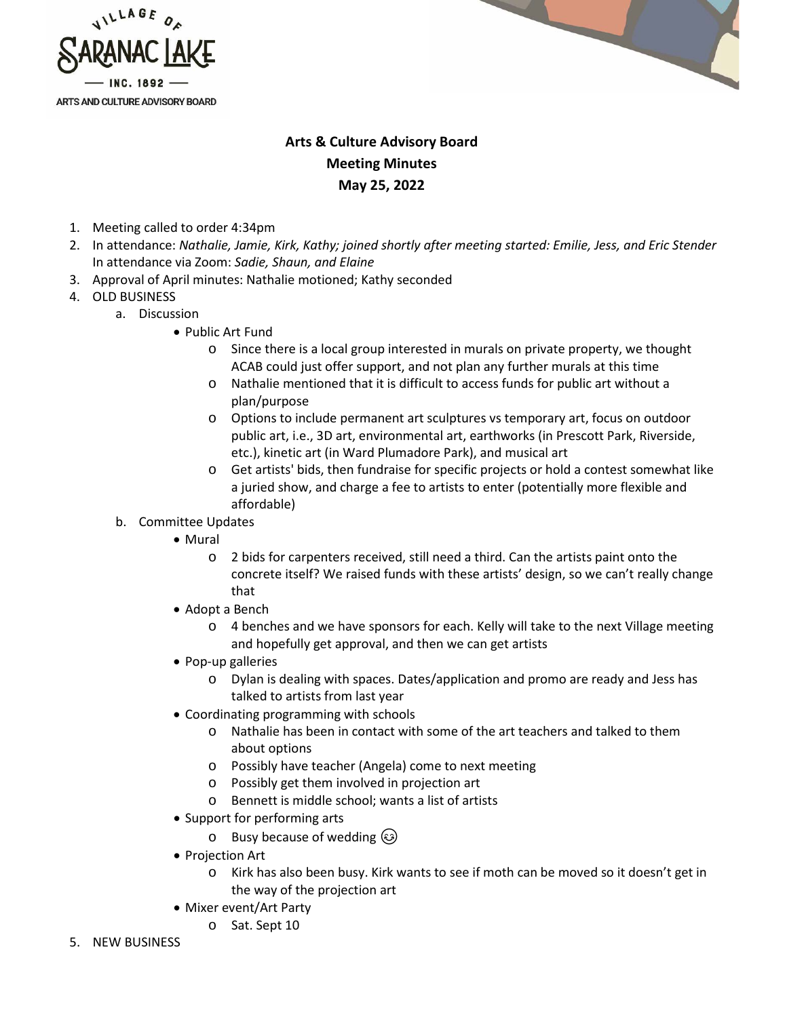



## **Arts & Culture Advisory Board Meeting Minutes May 25, 2022**

- 1. Meeting called to order 4:34pm
- 2. In attendance: *Nathalie, Jamie, Kirk, Kathy; joined shortly after meeting started: Emilie, Jess, and Eric Stender*  In attendance via Zoom: *Sadie, Shaun, and Elaine*
- 3. Approval of April minutes: Nathalie motioned; Kathy seconded
- 4. OLD BUSINESS
	- a. Discussion
		- Public Art Fund
			- o Since there is a local group interested in murals on private property, we thought ACAB could just offer support, and not plan any further murals at this time
			- o Nathalie mentioned that it is difficult to access funds for public art without a plan/purpose
			- o Options to include permanent art sculptures vs temporary art, focus on outdoor public art, i.e., 3D art, environmental art, earthworks (in Prescott Park, Riverside, etc.), kinetic art (in Ward Plumadore Park), and musical art
			- o Get artists' bids, then fundraise for specific projects or hold a contest somewhat like a juried show, and charge a fee to artists to enter (potentially more flexible and affordable)
		- b. Committee Updates
			- Mural
				- o 2 bids for carpenters received, still need a third. Can the artists paint onto the concrete itself? We raised funds with these artists' design, so we can't really change that
			- Adopt a Bench
				- $\circ$  4 benches and we have sponsors for each. Kelly will take to the next Village meeting and hopefully get approval, and then we can get artists
			- Pop-up galleries
				- o Dylan is dealing with spaces. Dates/application and promo are ready and Jess has talked to artists from last year
			- Coordinating programming with schools
				- o Nathalie has been in contact with some of the art teachers and talked to them about options
				- o Possibly have teacher (Angela) come to next meeting
				- o Possibly get them involved in projection art
				- o Bennett is middle school; wants a list of artists
			- Support for performing arts
				- o Busy because of wedding  $\circled{e}$
			- Projection Art
				- o Kirk has also been busy. Kirk wants to see if moth can be moved so it doesn't get in the way of the projection art
			- Mixer event/Art Party
				- o Sat. Sept 10